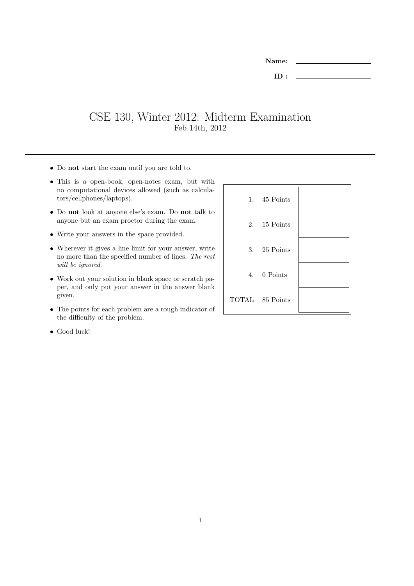| <b>Name:</b> |  |
|--------------|--|
| ID:          |  |

## CSE 130, Winter 2012: Midterm Examination Feb 14th, 2012

- Do not start the exam until you are told to.
- This is a open-book, open-notes exam, but with no computational devices allowed (such as calculators/cellphones/laptops).
- Do not look at anyone else's exam. Do not talk to anyone but an exam proctor during the exam.
- Write your answers in the space provided.
- Wherever it gives a line limit for your answer, write no more than the specified number of lines. The rest will be ignored.
- Work out your solution in blank space or scratch paper, and only put your answer in the answer blank given.
- The points for each problem are a rough indicator of the difficulty of the problem.

| 1. 45 Points    |  |
|-----------------|--|
| 2. 15 Points    |  |
| 3. $25$ Points  |  |
| 4. 0 Points     |  |
| TOTAL 85 Points |  |

• Good luck!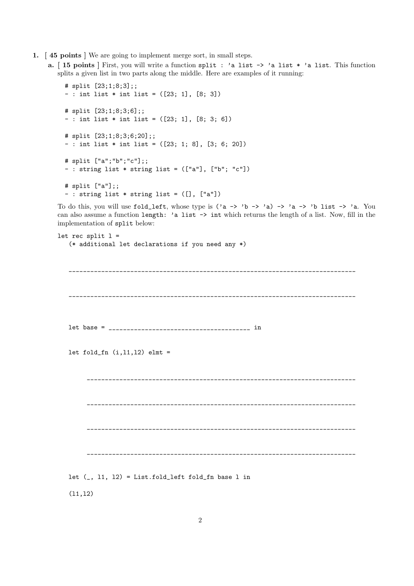- 1. [ 45 points ] We are going to implement merge sort, in small steps.
	- a. [ 15 points ] First, you will write a function split : 'a list -> 'a list \* 'a list. This function splits a given list in two parts along the middle. Here are examples of it running:

```
# split [23;1;8;3];;
- : int list * int list = ([23; 1], [8; 3])# split [23;1;8;3;6];;
- : int list * int list = ([23; 1], [8; 3; 6])# split [23;1;8;3;6;20];;
- : int list * int list = ([23; 1; 8], [3; 6; 20])
# split ["a";"b";"c"];;
- : string list * string list = (["a"], ["b"; "c"])
# split ["a"];;
- : string list * string list = ([], ["a"])
```
To do this, you will use fold\_left, whose type is  $('a \rightarrow 'b \rightarrow 'a) \rightarrow 'a \rightarrow 'b$  list  $\rightarrow 'a$ . You can also assume a function length: 'a list -> int which returns the length of a list. Now, fill in the implementation of split below:

```
let rec split l =(* additional let declarations if you need any *)
        _______________________________________________________________________________
          _______________________________________________________________________________
   let base = _______________________________________ in
   let fold_fn (i,11,12) elmt =
                 __________________________________________________________________________
           __________________________________________________________________________
         __________________________________________________________________________
        __________________________________________________________________________
   let (, 11, 12) = List.fold_left fold_fn base 1 in
```
 $(11,12)$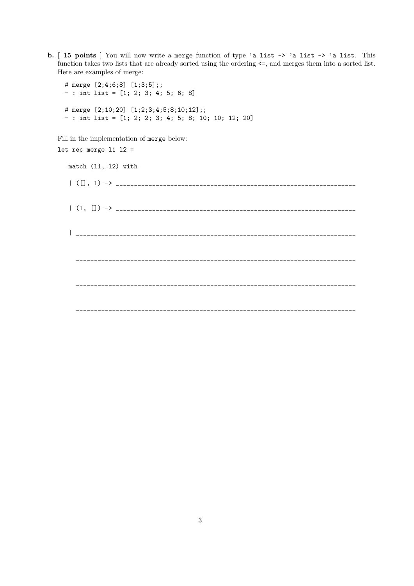b. [ 15 points ] You will now write a merge function of type 'a list -> 'a list -> 'a list. This function takes two lists that are already sorted using the ordering  $\leq$ , and merges them into a sorted list. Here are examples of merge:

```
# merge [2;4;6;8] [1;3;5];;
- : int list = [1; 2; 3; 4; 5; 6; 8]
# merge [2;10;20] [1;2;3;4;5;8;10;12];;
- : int list = [1; 2; 2; 3; 4; 5; 8; 10; 10; 12; 20]
```
Fill in the implementation of merge below:

```
let rec merge 11 12 =match (l1, l2) with
  |\n\>(\n\Box\,,\n\Box\n) \rightarrow \_| (l, []) -> __________________________________________________________________
   | _____________________________________________________________________________
    _____________________________________________________________________________
     _____________________________________________________________________________
     _____________________________________________________________________________
```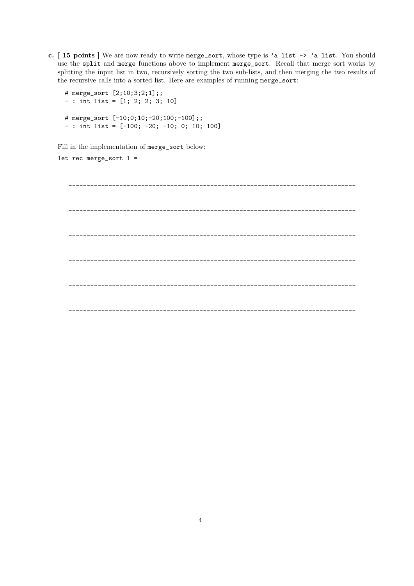c. [ 15 points ] We are now ready to write merge\_sort, whose type is 'a list -> 'a list. You should use the split and merge functions above to implement merge\_sort. Recall that merge sort works by splitting the input list in two, recursively sorting the two sub-lists, and then merging the two results of the recursive calls into a sorted list. Here are examples of running merge\_sort:

```
# merge_sort [2;10;3;2;1];;
- : int list = [1; 2; 2; 3; 10]
# merge_sort [-10;0;10;-20;100;-100];;
- : int list = [-100; -20; -10; 0; 10; 100]
```
Fill in the implementation of merge\_sort below:

let rec merge\_sort  $l =$ 

\_\_\_\_\_\_\_\_\_\_\_\_\_\_\_\_\_\_\_\_\_\_\_\_\_\_\_\_\_\_\_\_\_\_\_\_\_\_\_\_\_\_\_\_\_\_\_\_\_\_\_\_\_\_\_\_\_\_\_\_\_\_\_\_\_\_\_\_\_\_\_\_\_\_\_\_\_\_\_ \_\_\_\_\_\_\_\_\_\_\_\_\_\_\_\_\_\_\_\_\_\_\_\_\_\_\_\_\_\_\_\_\_\_\_\_\_\_\_\_\_\_\_\_\_\_\_\_\_\_\_\_\_\_\_\_\_\_\_\_\_\_\_\_\_\_\_\_\_\_\_\_\_\_\_\_\_\_\_ \_\_\_\_\_\_\_\_\_\_\_\_\_\_\_\_\_\_\_\_\_\_\_\_\_\_\_\_\_\_\_\_\_\_\_\_\_\_\_\_\_\_\_\_\_\_\_\_\_\_\_\_\_\_\_\_\_\_\_\_\_\_\_\_\_\_\_\_\_\_\_\_\_\_\_\_\_\_\_ \_\_\_\_\_\_\_\_\_\_\_\_\_\_\_\_\_\_\_\_\_\_\_\_\_\_\_\_\_\_\_\_\_\_\_\_\_\_\_\_\_\_\_\_\_\_\_\_\_\_\_\_\_\_\_\_\_\_\_\_\_\_\_\_\_\_\_\_\_\_\_\_\_\_\_\_\_\_\_ \_\_\_\_\_\_\_\_\_\_\_\_\_\_\_\_\_\_\_\_\_\_\_\_\_\_\_\_\_\_\_\_\_\_\_\_\_\_\_\_\_\_\_\_\_\_\_\_\_\_\_\_\_\_\_\_\_\_\_\_\_\_\_\_\_\_\_\_\_\_\_\_\_\_\_\_\_\_\_ \_\_\_\_\_\_\_\_\_\_\_\_\_\_\_\_\_\_\_\_\_\_\_\_\_\_\_\_\_\_\_\_\_\_\_\_\_\_\_\_\_\_\_\_\_\_\_\_\_\_\_\_\_\_\_\_\_\_\_\_\_\_\_\_\_\_\_\_\_\_\_\_\_\_\_\_\_\_\_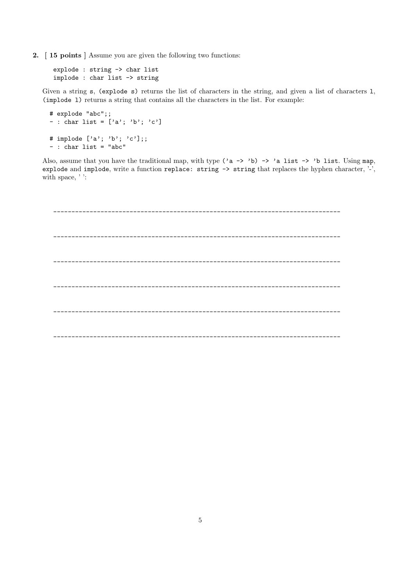2. [ 15 points ] Assume you are given the following two functions:

explode : string -> char list implode : char list -> string

Given a string s, (explode s) returns the list of characters in the string, and given a list of characters l, (implode l) returns a string that contains all the characters in the list. For example:

```
# explode "abc";;
- : char list = ['a'; 'b'; 'c']# implode ['a'; 'b'; 'c'];;
- : char list = "abc"
```
Also, assume that you have the traditional map, with type  $('a \rightarrow 'b) \rightarrow 'a$  list  $\rightarrow 'b$  list. Using map, explode and implode, write a function replace: string  $\rightarrow$  string that replaces the hyphen character, '-', with space, ' ':

\_\_\_\_\_\_\_\_\_\_\_\_\_\_\_\_\_\_\_\_\_\_\_\_\_\_\_\_\_\_\_\_\_\_\_\_\_\_\_\_\_\_\_\_\_\_\_\_\_\_\_\_\_\_\_\_\_\_\_\_\_\_\_\_\_\_\_\_\_\_\_\_\_\_\_\_\_\_\_ \_\_\_\_\_\_\_\_\_\_\_\_\_\_\_\_\_\_\_\_\_\_\_\_\_\_\_\_\_\_\_\_\_\_\_\_\_\_\_\_\_\_\_\_\_\_\_\_\_\_\_\_\_\_\_\_\_\_\_\_\_\_\_\_\_\_\_\_\_\_\_\_\_\_\_\_\_\_\_ \_\_\_\_\_\_\_\_\_\_\_\_\_\_\_\_\_\_\_\_\_\_\_\_\_\_\_\_\_\_\_\_\_\_\_\_\_\_\_\_\_\_\_\_\_\_\_\_\_\_\_\_\_\_\_\_\_\_\_\_\_\_\_\_\_\_\_\_\_\_\_\_\_\_\_\_\_\_\_ \_\_\_\_\_\_\_\_\_\_\_\_\_\_\_\_\_\_\_\_\_\_\_\_\_\_\_\_\_\_\_\_\_\_\_\_\_\_\_\_\_\_\_\_\_\_\_\_\_\_\_\_\_\_\_\_\_\_\_\_\_\_\_\_\_\_\_\_\_\_\_\_\_\_\_\_\_\_\_ \_\_\_\_\_\_\_\_\_\_\_\_\_\_\_\_\_\_\_\_\_\_\_\_\_\_\_\_\_\_\_\_\_\_\_\_\_\_\_\_\_\_\_\_\_\_\_\_\_\_\_\_\_\_\_\_\_\_\_\_\_\_\_\_\_\_\_\_\_\_\_\_\_\_\_\_\_\_\_ \_\_\_\_\_\_\_\_\_\_\_\_\_\_\_\_\_\_\_\_\_\_\_\_\_\_\_\_\_\_\_\_\_\_\_\_\_\_\_\_\_\_\_\_\_\_\_\_\_\_\_\_\_\_\_\_\_\_\_\_\_\_\_\_\_\_\_\_\_\_\_\_\_\_\_\_\_\_\_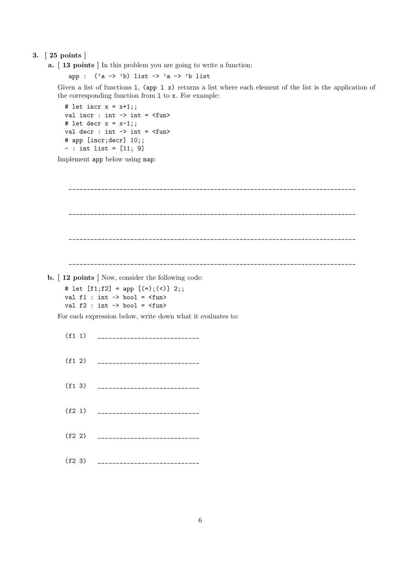## 3. [ 25 points ]

a. [ 13 points ] In this problem you are going to write a function:

app :  $('a -> 'b)$  list  $-> 'a -> 'b$  list

Given a list of functions 1, (app 1 x) returns a list where each element of the list is the application of the corresponding function from l to x. For example:

```
# let incr x = x+1;;
val incr : int \rightarrow int = \langlefun>
# let decr x = x-1;;
val decr : int \rightarrow int = \langlefun>
# app [incr;decr] 10;;
- : int list = [11; 9]
```
Implement app below using map:

```
_______________________________________________________________________________
     _______________________________________________________________________________
_______________________________________________________________________________
```
\_\_\_\_\_\_\_\_\_\_\_\_\_\_\_\_\_\_\_\_\_\_\_\_\_\_\_\_\_\_\_\_\_\_\_\_\_\_\_\_\_\_\_\_\_\_\_\_\_\_\_\_\_\_\_\_\_\_\_\_\_\_\_\_\_\_\_\_\_\_\_\_\_\_\_\_\_\_\_

- b. [ 12 points ] Now, consider the following code:
	- # let [f1;f2] = app [(=);(<)] 2;; val f1 :  $int \rightarrow bool = \langle fun \rangle$ val  $f2$  : int  $\rightarrow$  bool =  $\langle$ fun>

For each expression below, write down what it evaluates to:

| (f1 1) | ----------------------------  |
|--------|-------------------------------|
| (f1 2) | ____________________________  |
| (f1 3) | ---------------------------   |
| (f2 1) |                               |
| (f2 2) | _____________________________ |
| (f2 3) | ----------------------------  |